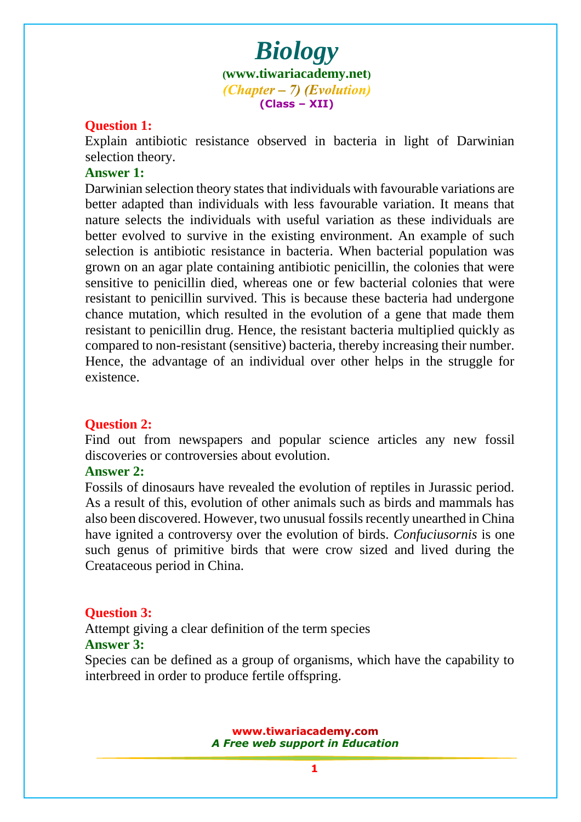#### **Question 1:**

Explain antibiotic resistance observed in bacteria in light of Darwinian selection theory.

#### **Answer 1:**

Darwinian selection theory states that individuals with favourable variations are better adapted than individuals with less favourable variation. It means that nat[ure selects the individuals with useful variation as these individ](www.tiwariacademy.com)uals are better evolved to survive in the existing environment. An example of such selection is antibiotic resistance in bacteria. When bacterial population was grown on an agar plate containing antibiotic penicillin, the colonies that were sensitive to penicillin died, whereas one or few bacterial colonies that were resistant to penicillin survived. This is because these bacteria had undergone chance mutation, which resulted in the evolution of a gene that made them resistant to penicillin drug. Hence, the resistant bacteria multiplied quickly as compared to non-resistant (sensitive) bacteria, thereby increasing their number. Hence, the advantage of an individual over other helps in the struggle for existence.

#### **Question 2:**

Find out from newspapers and popular science articles any new fossil discoveries or controversies about evolution.

## **Answer 2:**

Fossils of dinosaurs have revealed the evolution of reptiles in Jurassic period. As a result [of this, evolution of other animals such as birds](www.tiwariacademy.com) and mammals has also been discovered. However, two unusual fossils recently unearthed in China have ignited a controversy over the evolution of birds. *Confuciusornis* is one such genus of primitive birds that were crow sized and lived during the Creataceous period in China.

#### **Question 3:**

Attempt giving a clear definition of the term species **Answer 3:**

Species can be defined as a group of organisms, which have the capability to interbreed in order to produce fertile offspring.



**1**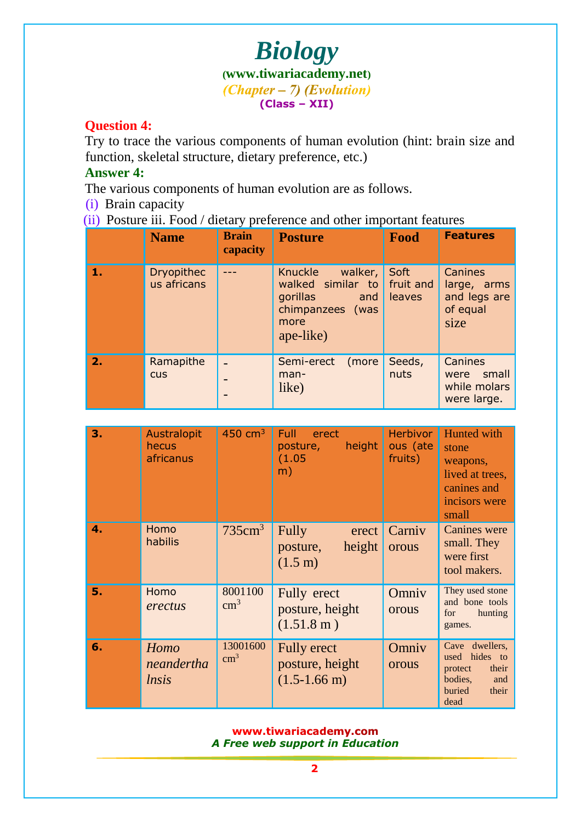## **Question 4:**

Try to trace the various components of human evolution (hint: brain size and function, skeletal structure, dietary preference, etc.)

## **Answer 4:**

The various components of human evolution are as follows.

(i) Brain capacity

(ii) Posture iii. Food / dietary preference and other important features

|    | <b>Name</b>                      | <b>Brain</b><br>capacity | <b>Posture</b>                                                                                      | Food                        | <b>Features</b>                                            |
|----|----------------------------------|--------------------------|-----------------------------------------------------------------------------------------------------|-----------------------------|------------------------------------------------------------|
| 17 | <b>Dryopithec</b><br>us africans |                          | Knuckle<br>walker,<br>walked similar to<br>gorillas<br>and<br>chimpanzees (was<br>more<br>ape-like) | Soft<br>fruit and<br>leaves | Canines<br>large, arms<br>and legs are<br>of equal<br>size |
| 2. | Ramapithe<br><b>CUS</b>          |                          | (more<br>Semi-erect<br>man-<br>like)                                                                | Seeds,<br>nuts              | Canines<br>were small<br>while molars<br>were large.       |

| 3. | Australopit<br>hecus<br>africanus | $450 \text{ cm}^3$        | <b>Full</b><br>erect<br>height<br>posture,<br>(1.05)<br>m)      | <b>Herbivor</b><br>ous (ate<br>fruits) | Hunted with<br>stone<br>weapons,<br>lived at trees,<br>canines and<br>incisors were<br>small        |
|----|-----------------------------------|---------------------------|-----------------------------------------------------------------|----------------------------------------|-----------------------------------------------------------------------------------------------------|
| 4. | Homo<br>habilis                   | 735cm <sup>3</sup>        | Fully<br>erect<br>height<br>posture,<br>$(1.5 \text{ m})$       | Carniv<br>orous                        | <b>Canines</b> were<br>small. They<br>were first<br>tool makers.                                    |
| 5. | Homo<br>erectus                   | 8001100<br>$\text{cm}^3$  | Fully erect<br>posture, height<br>$(1.51.8 \text{ m})$          | Omniv<br>orous                         | They used stone<br>and bone tools<br>for<br>hunting<br>games.                                       |
| 6. | Homo<br>neandertha<br>lnsis       | 13001600<br>$\text{cm}^3$ | <b>Fully erect</b><br>posture, height<br>$(1.5-1.66 \text{ m})$ | Omniv<br>orous                         | Cave dwellers,<br>hides to<br>used<br>their<br>protect<br>bodies,<br>and<br>buried<br>their<br>dead |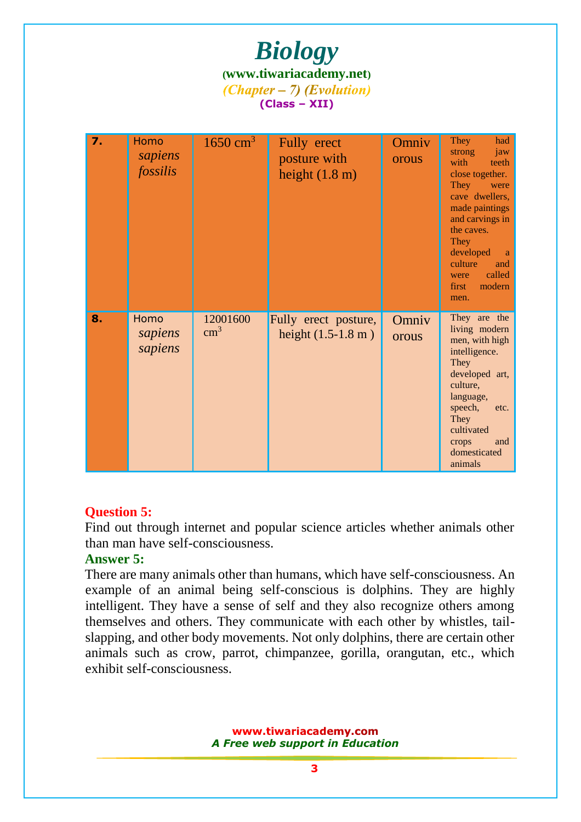| 7. | Homo<br>sapiens<br>fossilis | $1650 \text{ cm}^3$       | Fully erect<br>posture with<br>height $(1.8 \text{ m})$ | Omniv<br>orous | They<br>had<br>strong<br>jaw<br>with<br>teeth<br>close together.<br>They<br>were<br>cave dwellers.<br>made paintings<br>and carvings in<br>the caves.<br>They<br>developed<br>a<br>culture<br>and<br>called<br>were<br>modern<br>first<br>men. |
|----|-----------------------------|---------------------------|---------------------------------------------------------|----------------|------------------------------------------------------------------------------------------------------------------------------------------------------------------------------------------------------------------------------------------------|
| 8. | Homo<br>sapiens<br>sapiens  | 12001600<br>$\text{cm}^3$ | Fully erect posture,<br>height $(1.5-1.8 \text{ m})$    | Omniv<br>orous | They are the<br>living modern<br>men, with high<br>intelligence.<br>They<br>developed art,<br>culture,<br>language,<br>speech,<br>etc.<br>They<br>cultivated<br>and<br>crops<br>domesticated<br>animals                                        |

## **Question 5:**

Find out through internet and popular science articles whether animals other than man have self-consciousness.

## **Answer 5:**

There are many animals other than humans, which have self-consciousness. An example of an animal being self-conscious is dolphins. They are highly intelligent. They have a sense of self and they also recognize others among themselves and others. They communicate with each other by whistles, tailslapping, and other body movements. Not only dolphins, there are certain other animals such as crow, parrot, chimpanzee, gorilla, orangutan, etc., which exhibit self-consciousness.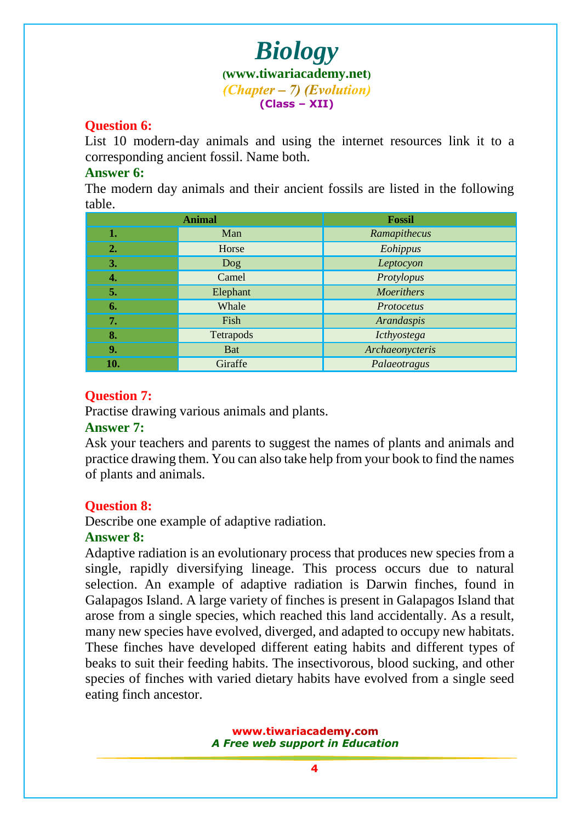## **Question 6:**

List 10 modern-day animals and using the internet resources link it to a corresponding ancient fossil. Name both.

## **Answer 6:**

The modern day animals and their ancient fossils are listed in the following table.

|     | <b>Animal</b> | <b>Fossil</b>     |
|-----|---------------|-------------------|
| 1.  | Man           | Ramapithecus      |
| 2.  | Horse         | Eohippus          |
| 3.  | Dog           | Leptocyon         |
| 4.  | Camel         | Protylopus        |
| 5.  | Elephant      | <b>Moerithers</b> |
| 6.  | Whale         | Protocetus        |
| 7.  | Fish          | Arandaspis        |
| 8.  | Tetrapods     | Icthyostega       |
| 9.  | <b>Bat</b>    | Archaeonycteris   |
| 10. | Giraffe       | Palaeotragus      |

## **Question 7:**

Practise drawing various animals and plants.

### **Answer 7:**

Ask your teachers and parents to suggest the names of plants and animals and practice drawing them. You can also take help from your book to find the names of plants and animals.

## **Question 8:**

Describe one example of adaptive radiation.

## **Answer 8:**

Adaptive radiation is an evolutionary process that produces new species from a single, rapidly diversifying lineage. This process occurs due to natural selection. An [example of adaptive radiation is Darwin finches,](www.tiwariacademy.com) found in Galapagos Island. A large variety of finches is present in Galapagos Island that arose from a single species, which reached this land accidentally. As a result, many new species have evolved, diverged, and adapted to occupy new habitats. These finches have developed different eating habits and different types of beaks to suit their feeding habits. The insectivorous, blood sucking, and other species of finches with varied dietary habits have evolved from a single seed eating finch ancestor.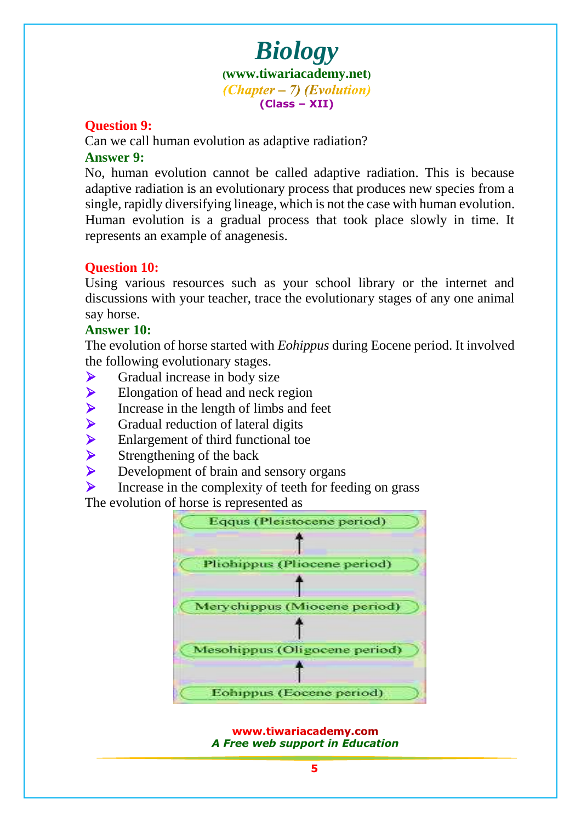## **Question 9:**

Can we call human evolution as adaptive radiation? **Answer 9:**

No, human evolution cannot be called adaptive radiation. This is because adaptive radiation is an evolutionary process that produces new species from a single, rapidly [diversifying lineage, which is not the cas](www.tiwariacademy.com)e with human evolution. Human evolution is a gradual process that took place slowly in time. It represents an example of anagenesis.

## **Question 10:**

Using various resources such as your school library or the internet and discussions with your teacher, trace the evolutionary stages of any one animal say horse.

### **Answer 10:**

The evolution of horse started with *Eohippus* during Eocene period. It involved the following evolutionary stages.

- $\triangleright$  Gradual increase in body size
- $\blacktriangleright$  Elongation of head and neck region
- Increase in the length of limbs and feet<br>
For Gradual reduction of lateral digits<br>
Inlargement of third functional toe<br>
International sensory organ<br>
Development of brain and sensory organ
- Gradual reduction of lateral digits
- Enlargement of third functional toe
- Strengthening of the back
- Development of brain and sensory organs
- $\triangleright$  Increase in the complexity of teeth for feeding on grass

The evolution of horse is represented as